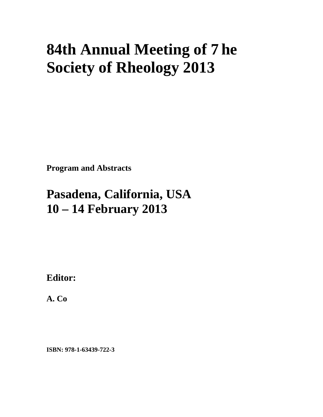## **84th Annual Meeting of 7he Society of Rheology 2013**

**Program and Abstracts** 

## **Pasadena, California, USA 10 – 14 February 2013**

**Editor:** 

**A. Co** 

**ISBN: 978-1-63439-722-3**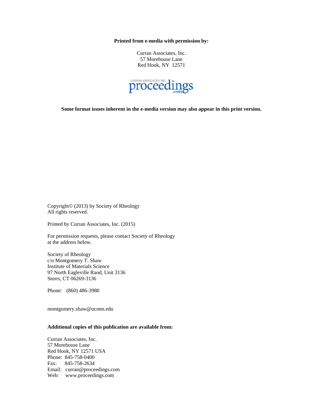**Printed from e-media with permission by:** 

Curran Associates, Inc. 57 Morehouse Lane Red Hook, NY 12571



**Some format issues inherent in the e-media version may also appear in this print version.** 

Copyright© (2013) by Society of Rheology All rights reserved.

Printed by Curran Associates, Inc. (2015)

For permission requests, please contact Society of Rheology at the address below.

Society of Rheology c/o Montgomery T. Shaw Institute of Materials Science 97 North Eagleville Raod, Unit 3136 Storrs, CT 06269-3136

Phone: (860) 486-3980

montgomery.shaw@uconn.edu

## **Additional copies of this publication are available from:**

Curran Associates, Inc. 57 Morehouse Lane Red Hook, NY 12571 USA Phone: 845-758-0400 Fax: 845-758-2634 Email: curran@proceedings.com Web: www.proceedings.com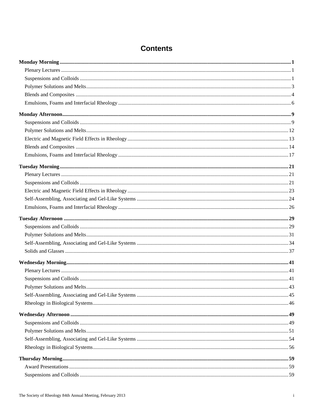## **Contents**